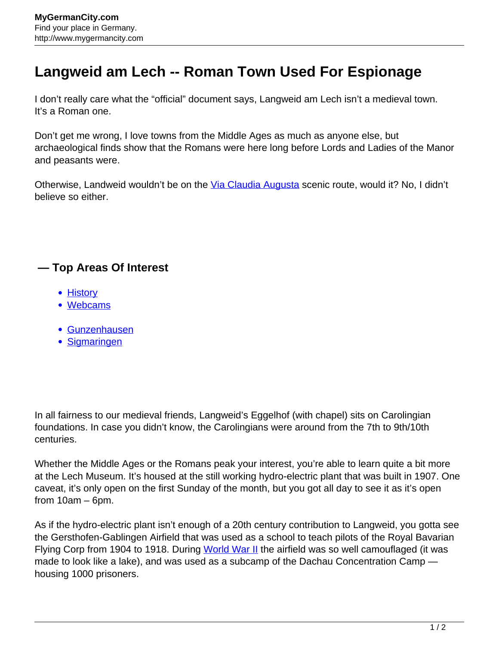## **Langweid am Lech -- Roman Town Used For Espionage**

I don't really care what the "official" document says, Langweid am Lech isn't a medieval town. It's a Roman one.

Don't get me wrong, I love towns from the Middle Ages as much as anyone else, but archaeological finds show that the Romans were here long before Lords and Ladies of the Manor and peasants were.

Otherwise, Landweid wouldn't be on the [Via Claudia Augusta](http://www.mygermancity.com/via-claudia-augusta) scenic route, would it? No, I didn't believe so either.

## **— Top Areas Of Interest**

- [History](http://www.mygermancity.com/leipzig-history)
- [Webcams](http://www.mygermancity.com/neustadt-holstein-webcams)
- [Gunzenhausen](http://www.mygermancity.com/gunzenhausen)
- [Sigmaringen](http://www.mygermancity.com/sigmaringen)

In all fairness to our medieval friends, Langweid's Eggelhof (with chapel) sits on Carolingian foundations. In case you didn't know, the Carolingians were around from the 7th to 9th/10th centuries.

Whether the Middle Ages or the Romans peak your interest, you're able to learn quite a bit more at the Lech Museum. It's housed at the still working hydro-electric plant that was built in 1907. One caveat, it's only open on the first Sunday of the month, but you got all day to see it as it's open from 10am – 6pm.

As if the hydro-electric plant isn't enough of a 20th century contribution to Langweid, you gotta see the Gersthofen-Gablingen Airfield that was used as a school to teach pilots of the Royal Bavarian Flying Corp from 1904 to 1918. During [World War II](http://www.mygermancity.com/world-war-ii) the airfield was so well camouflaged (it was made to look like a lake), and was used as a subcamp of the Dachau Concentration Camp housing 1000 prisoners.